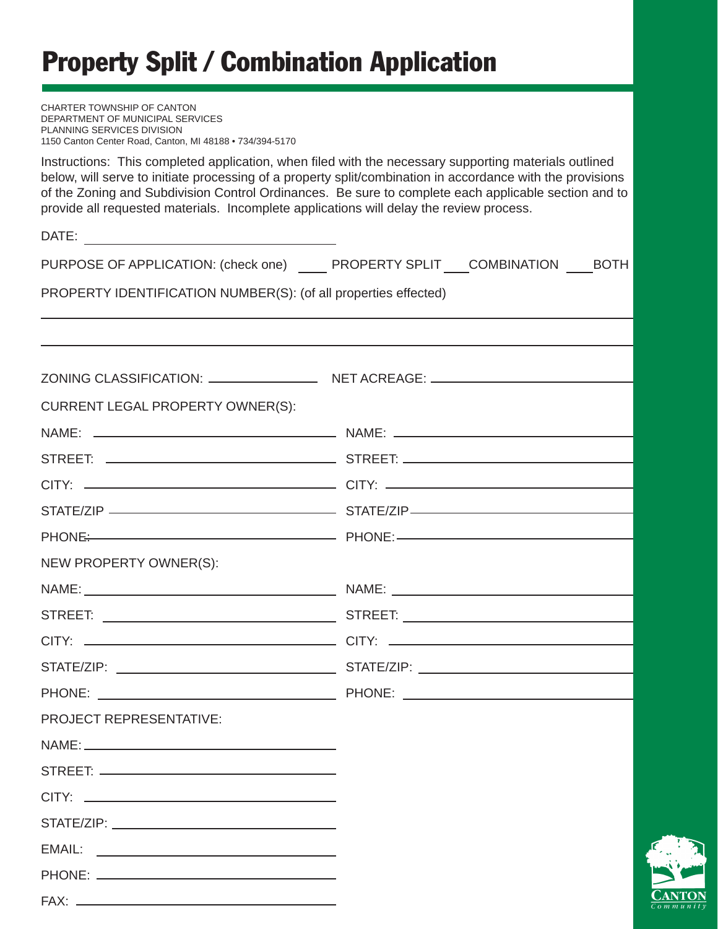# Property Split / Combination Application

| CHARTER TOWNSHIP OF CANTON<br>DEPARTMENT OF MUNICIPAL SERVICES<br>PLANNING SERVICES DIVISION<br>1150 Canton Center Road, Canton, MI 48188 . 734/394-5170                                                                                                                                                                                                                                                               |  |  |  |  |
|------------------------------------------------------------------------------------------------------------------------------------------------------------------------------------------------------------------------------------------------------------------------------------------------------------------------------------------------------------------------------------------------------------------------|--|--|--|--|
| Instructions: This completed application, when filed with the necessary supporting materials outlined<br>below, will serve to initiate processing of a property split/combination in accordance with the provisions<br>of the Zoning and Subdivision Control Ordinances. Be sure to complete each applicable section and to<br>provide all requested materials. Incomplete applications will delay the review process. |  |  |  |  |
|                                                                                                                                                                                                                                                                                                                                                                                                                        |  |  |  |  |
| PURPOSE OF APPLICATION: (check one) PROPERTY SPLIT COMBINATION BOTH                                                                                                                                                                                                                                                                                                                                                    |  |  |  |  |
| PROPERTY IDENTIFICATION NUMBER(S): (of all properties effected)                                                                                                                                                                                                                                                                                                                                                        |  |  |  |  |
|                                                                                                                                                                                                                                                                                                                                                                                                                        |  |  |  |  |
|                                                                                                                                                                                                                                                                                                                                                                                                                        |  |  |  |  |
| <b>CURRENT LEGAL PROPERTY OWNER(S):</b>                                                                                                                                                                                                                                                                                                                                                                                |  |  |  |  |
|                                                                                                                                                                                                                                                                                                                                                                                                                        |  |  |  |  |
|                                                                                                                                                                                                                                                                                                                                                                                                                        |  |  |  |  |
|                                                                                                                                                                                                                                                                                                                                                                                                                        |  |  |  |  |
|                                                                                                                                                                                                                                                                                                                                                                                                                        |  |  |  |  |
|                                                                                                                                                                                                                                                                                                                                                                                                                        |  |  |  |  |
| NEW PROPERTY OWNER(S):                                                                                                                                                                                                                                                                                                                                                                                                 |  |  |  |  |
|                                                                                                                                                                                                                                                                                                                                                                                                                        |  |  |  |  |
|                                                                                                                                                                                                                                                                                                                                                                                                                        |  |  |  |  |
|                                                                                                                                                                                                                                                                                                                                                                                                                        |  |  |  |  |
|                                                                                                                                                                                                                                                                                                                                                                                                                        |  |  |  |  |
| <b>PROJECT REPRESENTATIVE:</b>                                                                                                                                                                                                                                                                                                                                                                                         |  |  |  |  |
|                                                                                                                                                                                                                                                                                                                                                                                                                        |  |  |  |  |
|                                                                                                                                                                                                                                                                                                                                                                                                                        |  |  |  |  |
|                                                                                                                                                                                                                                                                                                                                                                                                                        |  |  |  |  |
|                                                                                                                                                                                                                                                                                                                                                                                                                        |  |  |  |  |
|                                                                                                                                                                                                                                                                                                                                                                                                                        |  |  |  |  |
|                                                                                                                                                                                                                                                                                                                                                                                                                        |  |  |  |  |
|                                                                                                                                                                                                                                                                                                                                                                                                                        |  |  |  |  |
|                                                                                                                                                                                                                                                                                                                                                                                                                        |  |  |  |  |

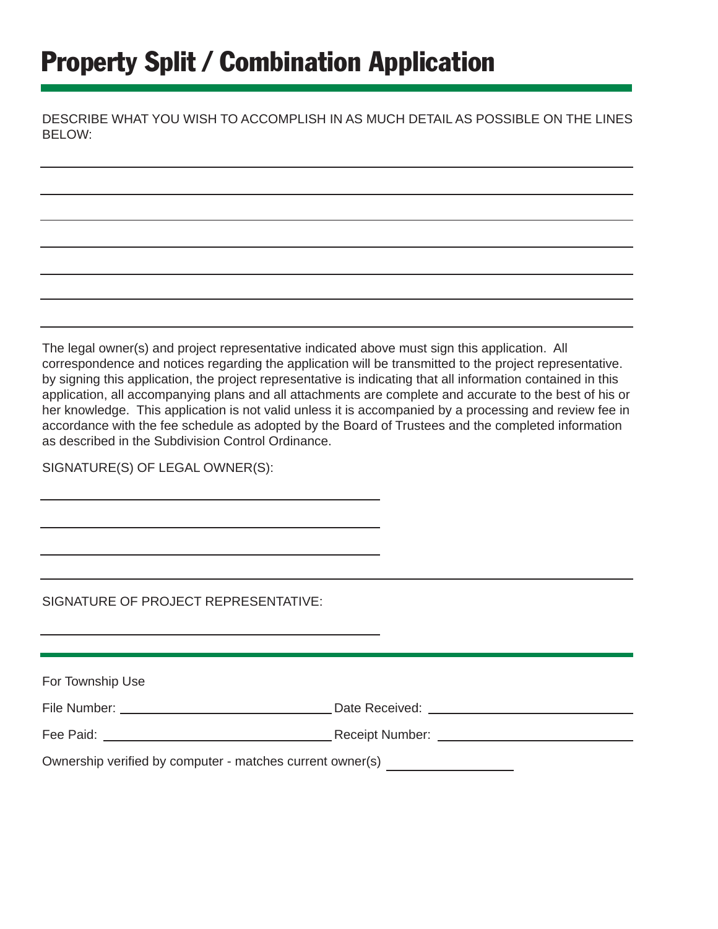# Property Split / Combination Application

DESCRIBE WHAT YOU WISH TO ACCOMPLISH IN AS MUCH DETAIL AS POSSIBLE ON THE LINES BELOW:

The legal owner(s) and project representative indicated above must sign this application. All correspondence and notices regarding the application will be transmitted to the project representative. by signing this application, the project representative is indicating that all information contained in this application, all accompanying plans and all attachments are complete and accurate to the best of his or her knowledge. This application is not valid unless it is accompanied by a processing and review fee in accordance with the fee schedule as adopted by the Board of Trustees and the completed information as described in the Subdivision Control Ordinance.

SIGNATURE(S) OF LEGAL OWNER(S):

SIGNATURE OF PROJECT REPRESENTATIVE:

| For Township Use                                          |  |  |
|-----------------------------------------------------------|--|--|
|                                                           |  |  |
|                                                           |  |  |
| Ownership verified by computer - matches current owner(s) |  |  |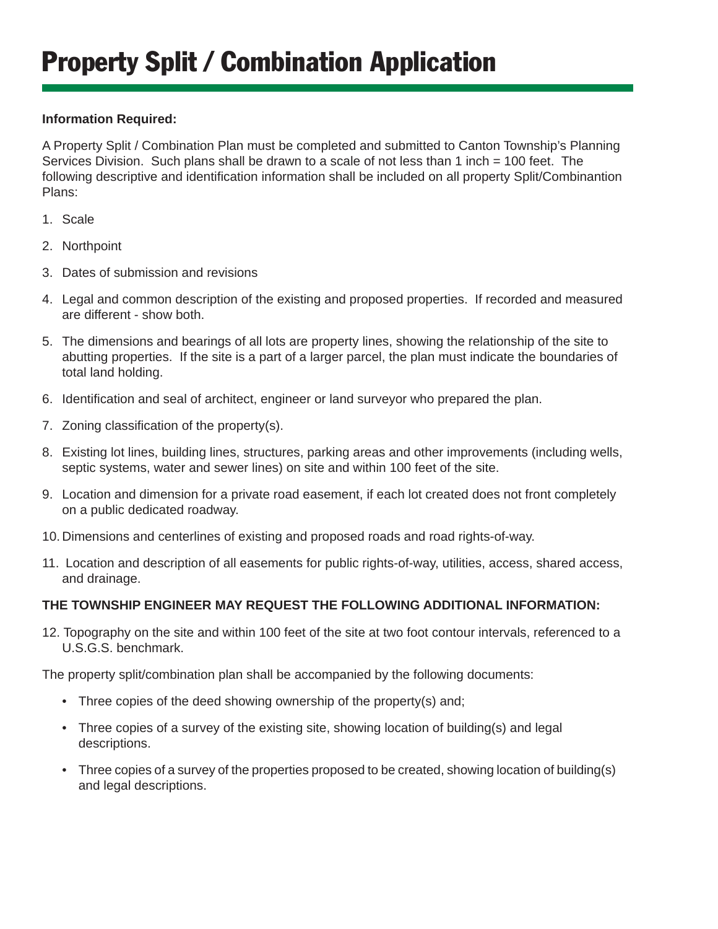### **Information Required:**

A Property Split / Combination Plan must be completed and submitted to Canton Township's Planning Services Division. Such plans shall be drawn to a scale of not less than 1 inch = 100 feet. The following descriptive and identification information shall be included on all property Split/Combinantion Plans:

- 1. Scale
- 2. Northpoint
- 3. Dates of submission and revisions
- 4. Legal and common description of the existing and proposed properties. If recorded and measured are different - show both.
- 5. The dimensions and bearings of all lots are property lines, showing the relationship of the site to abutting properties. If the site is a part of a larger parcel, the plan must indicate the boundaries of total land holding.
- 6. Identification and seal of architect, engineer or land surveyor who prepared the plan.
- 7. Zoning classification of the property(s).
- 8. Existing lot lines, building lines, structures, parking areas and other improvements (including wells, septic systems, water and sewer lines) on site and within 100 feet of the site.
- 9. Location and dimension for a private road easement, if each lot created does not front completely on a public dedicated roadway.
- 10. Dimensions and centerlines of existing and proposed roads and road rights-of-way.
- 11. Location and description of all easements for public rights-of-way, utilities, access, shared access, and drainage.

#### **THE TOWNSHIP ENGINEER MAY REQUEST THE FOLLOWING ADDITIONAL INFORMATION:**

12. Topography on the site and within 100 feet of the site at two foot contour intervals, referenced to a U.S.G.S. benchmark.

The property split/combination plan shall be accompanied by the following documents:

- Three copies of the deed showing ownership of the property(s) and;
- Three copies of a survey of the existing site, showing location of building(s) and legal descriptions.
- Three copies of a survey of the properties proposed to be created, showing location of building(s) and legal descriptions.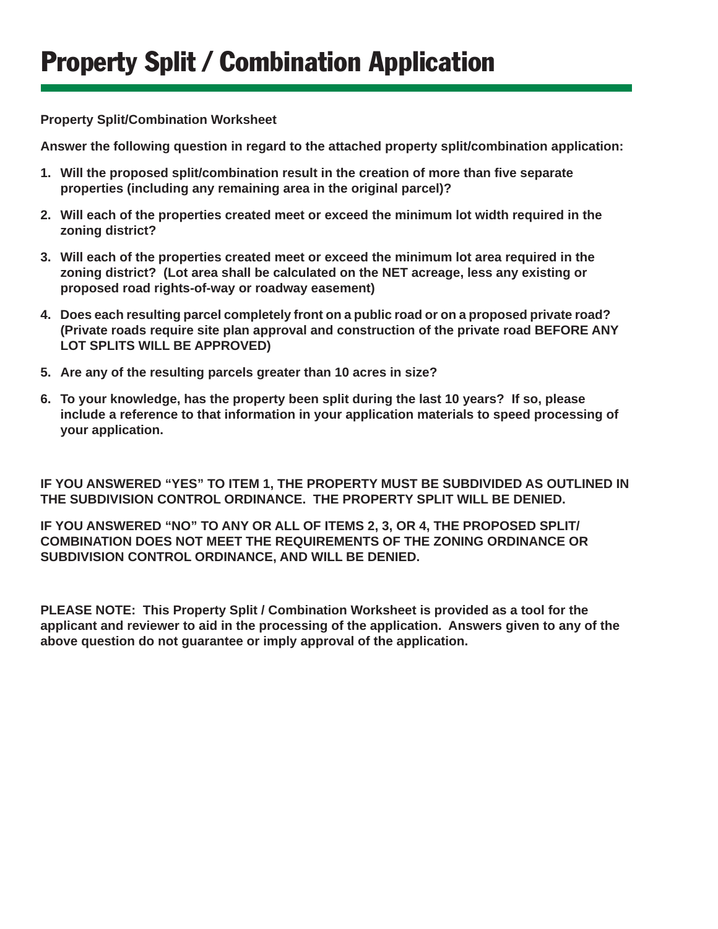#### **Property Split/Combination Worksheet**

**Answer the following question in regard to the attached property split/combination application:**

- **1. Will the proposed split/combination result in the creation of more than fi ve separate properties (including any remaining area in the original parcel)?**
- **2. Will each of the properties created meet or exceed the minimum lot width required in the zoning district?**
- **3. Will each of the properties created meet or exceed the minimum lot area required in the zoning district? (Lot area shall be calculated on the NET acreage, less any existing or proposed road rights-of-way or roadway easement)**
- **4. Does each resulting parcel completely front on a public road or on a proposed private road? (Private roads require site plan approval and construction of the private road BEFORE ANY LOT SPLITS WILL BE APPROVED)**
- **5. Are any of the resulting parcels greater than 10 acres in size?**
- **6. To your knowledge, has the property been split during the last 10 years? If so, please include a reference to that information in your application materials to speed processing of your application.**

**IF YOU ANSWERED "YES" TO ITEM 1, THE PROPERTY MUST BE SUBDIVIDED AS OUTLINED IN THE SUBDIVISION CONTROL ORDINANCE. THE PROPERTY SPLIT WILL BE DENIED.**

**IF YOU ANSWERED "NO" TO ANY OR ALL OF ITEMS 2, 3, OR 4, THE PROPOSED SPLIT/ COMBINATION DOES NOT MEET THE REQUIREMENTS OF THE ZONING ORDINANCE OR SUBDIVISION CONTROL ORDINANCE, AND WILL BE DENIED.**

**PLEASE NOTE: This Property Split / Combination Worksheet is provided as a tool for the applicant and reviewer to aid in the processing of the application. Answers given to any of the above question do not guarantee or imply approval of the application.**